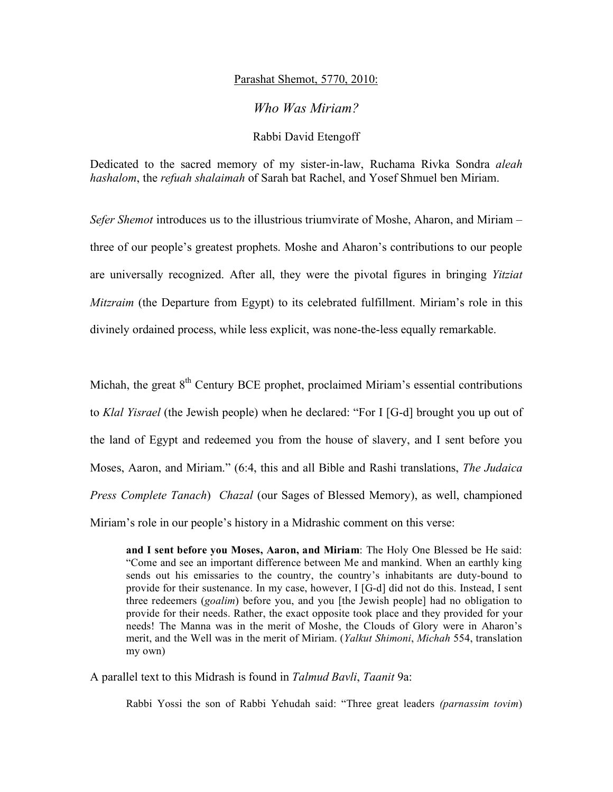## Parashat Shemot, 5770, 2010:

## *Who Was Miriam?*

## Rabbi David Etengoff

Dedicated to the sacred memory of my sister-in-law, Ruchama Rivka Sondra *aleah hashalom*, the *refuah shalaimah* of Sarah bat Rachel, and Yosef Shmuel ben Miriam.

*Sefer Shemot* introduces us to the illustrious triumvirate of Moshe, Aharon, and Miriam – three of our people's greatest prophets. Moshe and Aharon's contributions to our people are universally recognized. After all, they were the pivotal figures in bringing *Yitziat Mitzraim* (the Departure from Egypt) to its celebrated fulfillment. Miriam's role in this divinely ordained process, while less explicit, was none-the-less equally remarkable.

Michah, the great  $8<sup>th</sup>$  Century BCE prophet, proclaimed Miriam's essential contributions to *Klal Yisrael* (the Jewish people) when he declared: "For I [G-d] brought you up out of the land of Egypt and redeemed you from the house of slavery, and I sent before you Moses, Aaron, and Miriam." (6:4, this and all Bible and Rashi translations, *The Judaica Press Complete Tanach*) *Chazal* (our Sages of Blessed Memory), as well, championed Miriam's role in our people's history in a Midrashic comment on this verse:

**and I sent before you Moses, Aaron, and Miriam**: The Holy One Blessed be He said: "Come and see an important difference between Me and mankind. When an earthly king sends out his emissaries to the country, the country's inhabitants are duty-bound to provide for their sustenance. In my case, however, I [G-d] did not do this. Instead, I sent three redeemers (*goalim*) before you, and you [the Jewish people] had no obligation to provide for their needs. Rather, the exact opposite took place and they provided for your needs! The Manna was in the merit of Moshe, the Clouds of Glory were in Aharon's merit, and the Well was in the merit of Miriam. (*Yalkut Shimoni*, *Michah* 554, translation my own)

A parallel text to this Midrash is found in *Talmud Bavli*, *Taanit* 9a:

Rabbi Yossi the son of Rabbi Yehudah said: "Three great leaders *(parnassim tovim*)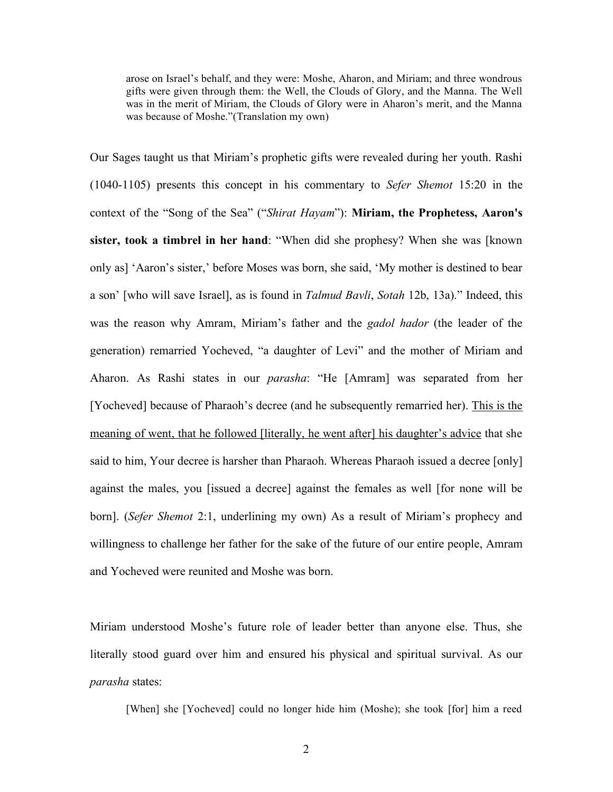arose on Israel's behalf, and they were: Moshe, Aharon, and Miriam; and three wondrous gifts were given through them: the Well, the Clouds of Glory, and the Manna. The Well was in the merit of Miriam, the Clouds of Glory were in Aharon's merit, and the Manna was because of Moshe."(Translation my own)

Our Sages taught us that Miriam's prophetic gifts were revealed during her youth. Rashi (1040-1105) presents this concept in his commentary to *Sefer Shemot* 15:20 in the context of the "Song of the Sea" ("*Shirat Hayam*"): **Miriam, the Prophetess, Aaron's sister, took a timbrel in her hand**: "When did she prophesy? When she was [known only as] 'Aaron's sister,' before Moses was born, she said, 'My mother is destined to bear a son' [who will save Israel], as is found in *Talmud Bavli*, *Sotah* 12b, 13a)." Indeed, this was the reason why Amram, Miriam's father and the *gadol hador* (the leader of the generation) remarried Yocheved, "a daughter of Levi" and the mother of Miriam and Aharon. As Rashi states in our *parasha*: "He [Amram] was separated from her [Yocheved] because of Pharaoh's decree (and he subsequently remarried her). This is the meaning of went, that he followed [literally, he went after] his daughter's advice that she said to him, Your decree is harsher than Pharaoh. Whereas Pharaoh issued a decree [only] against the males, you [issued a decree] against the females as well [for none will be born]. (*Sefer Shemot* 2:1, underlining my own) As a result of Miriam's prophecy and willingness to challenge her father for the sake of the future of our entire people, Amram and Yocheved were reunited and Moshe was born.

Miriam understood Moshe's future role of leader better than anyone else. Thus, she literally stood guard over him and ensured his physical and spiritual survival. As our *parasha* states:

[When] she [Yocheved] could no longer hide him (Moshe); she took [for] him a reed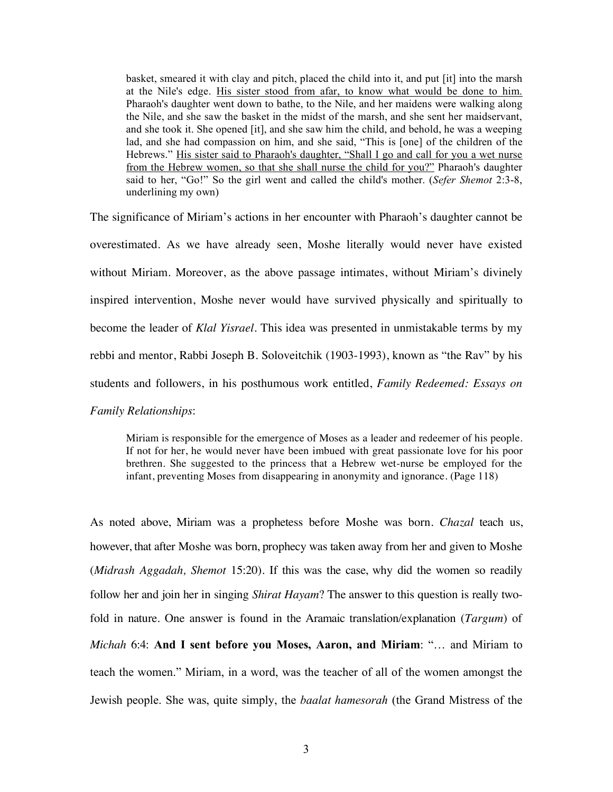basket, smeared it with clay and pitch, placed the child into it, and put [it] into the marsh at the Nile's edge. His sister stood from afar, to know what would be done to him. Pharaoh's daughter went down to bathe, to the Nile, and her maidens were walking along the Nile, and she saw the basket in the midst of the marsh, and she sent her maidservant, and she took it. She opened [it], and she saw him the child, and behold, he was a weeping lad, and she had compassion on him, and she said, "This is [one] of the children of the Hebrews." His sister said to Pharaoh's daughter, "Shall I go and call for you a wet nurse from the Hebrew women, so that she shall nurse the child for you?" Pharaoh's daughter said to her, "Go!" So the girl went and called the child's mother. (*Sefer Shemot* 2:3-8, underlining my own)

The significance of Miriam's actions in her encounter with Pharaoh's daughter cannot be overestimated. As we have already seen, Moshe literally would never have existed without Miriam. Moreover, as the above passage intimates, without Miriam's divinely inspired intervention, Moshe never would have survived physically and spiritually to become the leader of *Klal Yisrael*. This idea was presented in unmistakable terms by my rebbi and mentor, Rabbi Joseph B. Soloveitchik (1903-1993), known as "the Rav" by his students and followers, in his posthumous work entitled, *Family Redeemed: Essays on Family Relationships*:

Miriam is responsible for the emergence of Moses as a leader and redeemer of his people. If not for her, he would never have been imbued with great passionate love for his poor brethren. She suggested to the princess that a Hebrew wet-nurse be employed for the infant, preventing Moses from disappearing in anonymity and ignorance. (Page 118)

As noted above, Miriam was a prophetess before Moshe was born. *Chazal* teach us, however, that after Moshe was born, prophecy was taken away from her and given to Moshe (*Midrash Aggadah, Shemot* 15:20). If this was the case, why did the women so readily follow her and join her in singing *Shirat Hayam*? The answer to this question is really twofold in nature. One answer is found in the Aramaic translation/explanation (*Targum*) of *Michah* 6:4: **And I sent before you Moses, Aaron, and Miriam**: "… and Miriam to teach the women." Miriam, in a word, was the teacher of all of the women amongst the Jewish people. She was, quite simply, the *baalat hamesorah* (the Grand Mistress of the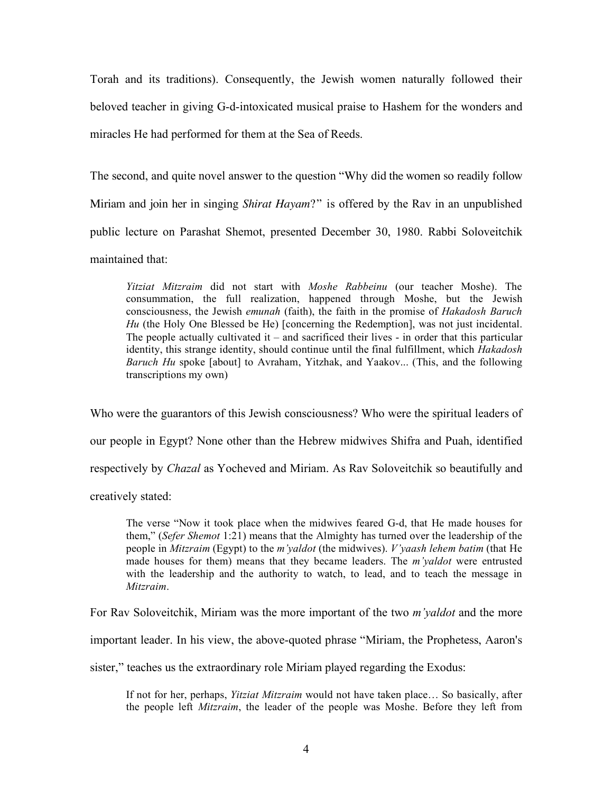Torah and its traditions). Consequently, the Jewish women naturally followed their beloved teacher in giving G-d-intoxicated musical praise to Hashem for the wonders and miracles He had performed for them at the Sea of Reeds.

The second, and quite novel answer to the question "Why did the women so readily follow Miriam and join her in singing *Shirat Hayam*?" is offered by the Rav in an unpublished public lecture on Parashat Shemot, presented December 30, 1980. Rabbi Soloveitchik maintained that:

*Yitziat Mitzraim* did not start with *Moshe Rabbeinu* (our teacher Moshe). The consummation, the full realization, happened through Moshe, but the Jewish consciousness, the Jewish *emunah* (faith), the faith in the promise of *Hakadosh Baruch Hu* (the Holy One Blessed be He) [concerning the Redemption], was not just incidental. The people actually cultivated it – and sacrificed their lives - in order that this particular identity, this strange identity, should continue until the final fulfillment, which *Hakadosh Baruch Hu* spoke [about] to Avraham, Yitzhak, and Yaakov... (This, and the following transcriptions my own)

Who were the guarantors of this Jewish consciousness? Who were the spiritual leaders of our people in Egypt? None other than the Hebrew midwives Shifra and Puah, identified respectively by *Chazal* as Yocheved and Miriam. As Rav Soloveitchik so beautifully and creatively stated:

The verse "Now it took place when the midwives feared G-d, that He made houses for them," (*Sefer Shemot* 1:21) means that the Almighty has turned over the leadership of the people in *Mitzraim* (Egypt) to the *m'yaldot* (the midwives). *V'yaash lehem batim* (that He made houses for them) means that they became leaders. The *m'yaldot* were entrusted with the leadership and the authority to watch, to lead, and to teach the message in *Mitzraim*.

For Rav Soloveitchik, Miriam was the more important of the two *m'yaldot* and the more

important leader. In his view, the above-quoted phrase "Miriam, the Prophetess, Aaron's

sister," teaches us the extraordinary role Miriam played regarding the Exodus:

If not for her, perhaps, *Yitziat Mitzraim* would not have taken place… So basically, after the people left *Mitzraim*, the leader of the people was Moshe. Before they left from